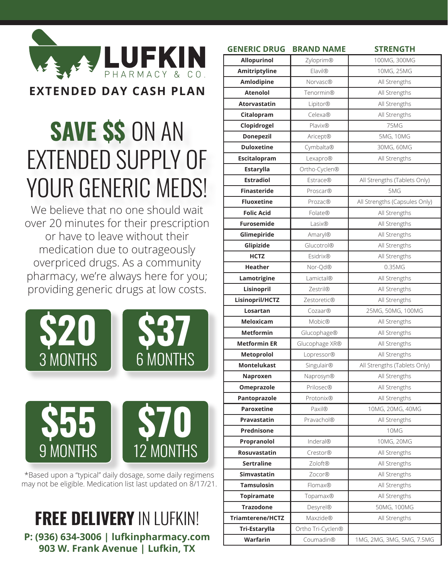

## **SAVE \$\$** ON AN EXTENDED SUPPLY OF YOUR GENERIC MEDS!

We believe that no one should wait over 20 minutes for their prescription or have to leave without their medication due to outrageously overpriced drugs. As a community pharmacy, we're always here for you; providing generic drugs at low costs.





\*Based upon a "typical" daily dosage, some daily regimens may not be eligible. Medication list last updated on 8/17/21.

**FREE DELIVERY** IN LUFKIN! **P: (936) 634-3006 | lufkinpharmacy.com 903 W. Frank Avenue | Lufkin, TX**

| <b>GENERIC DRUG</b>     | <b>BRAND NAME</b> | <b>STRENGTH</b>               |
|-------------------------|-------------------|-------------------------------|
| <b>Allopurinol</b>      | Zyloprim®         | 100MG, 300MG                  |
| Amitriptyline           | <b>Elavil®</b>    | 10MG, 25MG                    |
| Amlodipine              | <b>Norvasc®</b>   | All Strengths                 |
| <b>Atenolol</b>         | Tenormin®         | All Strengths                 |
| <b>Atorvastatin</b>     | Lipitor®          | All Strengths                 |
| Citalopram              | Celexa®           | All Strengths                 |
| Clopidrogel             | <b>Plavix®</b>    | <b>75MG</b>                   |
| <b>Donepezil</b>        | Aricept®          | 5MG, 10MG                     |
| <b>Duloxetine</b>       | Cymbalta®         | 30MG, 60MG                    |
| <b>Escitalopram</b>     | Lexapro®          | All Strengths                 |
| Estarylla               | Ortho-Cyclen®     |                               |
| <b>Estradiol</b>        | <b>Estrace®</b>   | All Strengths (Tablets Only)  |
| <b>Finasteride</b>      | <b>Proscar®</b>   | 5MG                           |
| <b>Fluoxetine</b>       | Prozac®           | All Strengths (Capsules Only) |
| <b>Folic Acid</b>       | Folate®           | All Strengths                 |
| <b>Furosemide</b>       | Lasix®            | All Strengths                 |
| Glimepiride             | Amaryl®           | All Strengths                 |
| Glipizide               | Glucotrol®        | All Strengths                 |
| <b>HCTZ</b>             | <b>Esidrix®</b>   | All Strengths                 |
| <b>Heather</b>          | Nor-Qd®           | 0.35MG                        |
| Lamotrigine             | Lamictal®         | All Strengths                 |
| Lisinopril              | Zestril®          | All Strengths                 |
| Lisinopril/HCTZ         | Zestoretic®       | All Strengths                 |
| Losartan                | Cozaar®           | 25MG, 50MG, 100MG             |
| <b>Meloxicam</b>        | <b>Mobic®</b>     | All Strengths                 |
| <b>Metformin</b>        | Glucophage®       | All Strengths                 |
| <b>Metformin ER</b>     | Glucophage XR®    | All Strengths                 |
| <b>Metoprolol</b>       | Lopressor®        | All Strengths                 |
| <b>Montelukast</b>      | Singulair®        | All Strengths (Tablets Only)  |
| Naproxen                | Naprosyn®         | All Strengths                 |
| Omeprazole              | <b>Prilosec®</b>  | All Strengths                 |
| Pantoprazole            | Protonix®         | All Strengths                 |
| <b>Paroxetine</b>       | Paxil®            | 10MG, 20MG, 40MG              |
| Pravastatin             | Pravachol®        | All Strengths                 |
| Prednisone              |                   | 10MG                          |
| Propranolol             | Inderal®          | 10MG, 20MG                    |
| <b>Rosuvastatin</b>     | Crestor®          | All Strengths                 |
| <b>Sertraline</b>       | Zoloft®           | All Strengths                 |
| Simvastatin             | Zocor®            | All Strengths                 |
| <b>Tamsulosin</b>       | Flomax®           | All Strengths                 |
| <b>Topiramate</b>       | Topamax®          | All Strengths                 |
| <b>Trazodone</b>        | Desyrel®          | 50MG, 100MG                   |
| <b>Triamterene/HCTZ</b> | <b>Maxzide®</b>   | All Strengths                 |
| <b>Tri-Estarylla</b>    | Ortho Tri-Cyclen® |                               |
| Warfarin                | Coumadin®         | 1MG, 2MG, 3MG, 5MG, 7.5MG     |